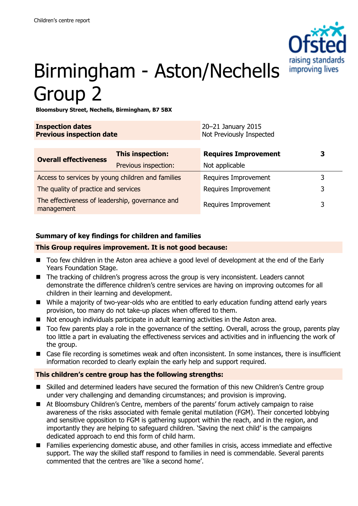

# Birmingham - Aston/Nechells Group 2

**Bloomsbury Street, Nechells, Birmingham, B7 5BX**

| <b>Inspection dates</b><br><b>Previous inspection date</b>    |                         | 20-21 January 2015<br>Not Previously Inspected |   |
|---------------------------------------------------------------|-------------------------|------------------------------------------------|---|
| <b>Overall effectiveness</b>                                  | <b>This inspection:</b> | <b>Requires Improvement</b>                    | З |
|                                                               | Previous inspection:    | Not applicable                                 |   |
| Access to services by young children and families             |                         | Requires Improvement                           | 3 |
| The quality of practice and services                          |                         | Requires Improvement                           | 3 |
| The effectiveness of leadership, governance and<br>management |                         | Requires Improvement                           | 3 |

## **Summary of key findings for children and families**

#### **This Group requires improvement. It is not good because:**

- Too few children in the Aston area achieve a good level of development at the end of the Early Years Foundation Stage.
- The tracking of children's progress across the group is very inconsistent. Leaders cannot demonstrate the difference children's centre services are having on improving outcomes for all children in their learning and development.
- While a majority of two-year-olds who are entitled to early education funding attend early years provision, too many do not take-up places when offered to them.
- Not enough individuals participate in adult learning activities in the Aston area.
- Too few parents play a role in the governance of the setting. Overall, across the group, parents play too little a part in evaluating the effectiveness services and activities and in influencing the work of the group.
- Case file recording is sometimes weak and often inconsistent. In some instances, there is insufficient information recorded to clearly explain the early help and support required.

### **This children's centre group has the following strengths:**

- Skilled and determined leaders have secured the formation of this new Children's Centre group under very challenging and demanding circumstances; and provision is improving.
- At Bloomsbury Children's Centre, members of the parents' forum actively campaign to raise awareness of the risks associated with female genital mutilation (FGM). Their concerted lobbying and sensitive opposition to FGM is gathering support within the reach, and in the region, and importantly they are helping to safeguard children. 'Saving the next child' is the campaigns dedicated approach to end this form of child harm.
- Families experiencing domestic abuse, and other families in crisis, access immediate and effective support. The way the skilled staff respond to families in need is commendable. Several parents commented that the centres are 'like a second home'.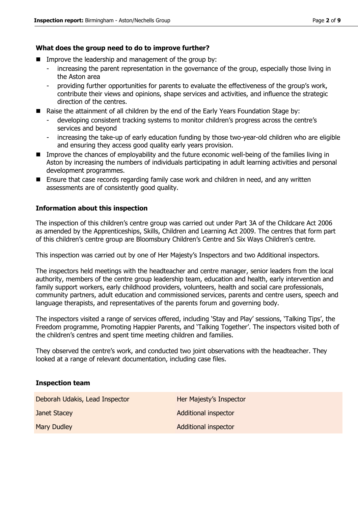#### **What does the group need to do to improve further?**

- **IMPROVE THE leadership and management of the group by:** 
	- increasing the parent representation in the governance of the group, especially those living in the Aston area
	- providing further opportunities for parents to evaluate the effectiveness of the group's work, contribute their views and opinions, shape services and activities, and influence the strategic direction of the centres.
- Raise the attainment of all children by the end of the Early Years Foundation Stage by:
	- developing consistent tracking systems to monitor children's progress across the centre's services and beyond
	- increasing the take-up of early education funding by those two-year-old children who are eligible and ensuring they access good quality early years provision.
- Improve the chances of employability and the future economic well-being of the families living in Aston by increasing the numbers of individuals participating in adult learning activities and personal development programmes.
- Ensure that case records regarding family case work and children in need, and any written assessments are of consistently good quality.

#### **Information about this inspection**

The inspection of this children's centre group was carried out under Part 3A of the Childcare Act 2006 as amended by the Apprenticeships, Skills, Children and Learning Act 2009. The centres that form part of this children's centre group are Bloomsbury Children's Centre and Six Ways Children's centre.

This inspection was carried out by one of Her Majesty's Inspectors and two Additional inspectors.

The inspectors held meetings with the headteacher and centre manager, senior leaders from the local authority, members of the centre group leadership team, education and health, early intervention and family support workers, early childhood providers, volunteers, health and social care professionals, community partners, adult education and commissioned services, parents and centre users, speech and language therapists, and representatives of the parents forum and governing body.

The inspectors visited a range of services offered, including 'Stay and Play' sessions, 'Talking Tips', the Freedom programme, Promoting Happier Parents, and 'Talking Together'. The inspectors visited both of the children's centres and spent time meeting children and families.

They observed the centre's work, and conducted two joint observations with the headteacher. They looked at a range of relevant documentation, including case files.

#### **Inspection team**

Deborah Udakis, Lead Inspector **Her Majesty's Inspector** 

**Janet Stacey Additional inspector** Mary Dudley **Additional inspector** Additional inspector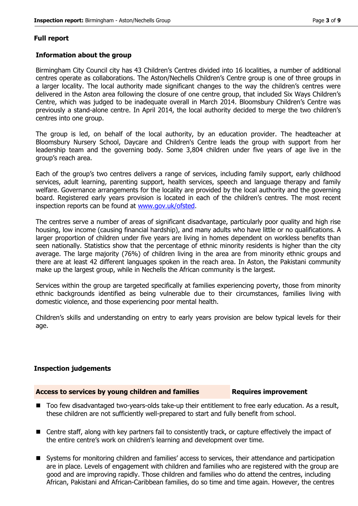#### **Full report**

#### **Information about the group**

Birmingham City Council city has 43 Children's Centres divided into 16 localities, a number of additional centres operate as collaborations. The Aston/Nechells Children's Centre group is one of three groups in a larger locality. The local authority made significant changes to the way the children's centres were delivered in the Aston area following the closure of one centre group, that included Six Ways Children's Centre, which was judged to be inadequate overall in March 2014. Bloomsbury Children's Centre was previously a stand-alone centre. In April 2014, the local authority decided to merge the two children's centres into one group.

The group is led, on behalf of the local authority, by an education provider. The headteacher at Bloomsbury Nursery School, Daycare and Children's Centre leads the group with support from her leadership team and the governing body. Some 3,804 children under five years of age live in the group's reach area.

Each of the group's two centres delivers a range of services, including family support, early childhood services, adult learning, parenting support, health services, speech and language therapy and family welfare. Governance arrangements for the locality are provided by the local authority and the governing board. Registered early years provision is located in each of the children's centres. The most recent inspection reports can be found at [www.gov.uk/ofsted.](http://www.gov.uk/ofsted)

The centres serve a number of areas of significant disadvantage, particularly poor quality and high rise housing, low income (causing financial hardship), and many adults who have little or no qualifications. A larger proportion of children under five years are living in homes dependent on workless benefits than seen nationally. Statistics show that the percentage of ethnic minority residents is higher than the city average. The large majority (76%) of children living in the area are from minority ethnic groups and there are at least 42 different languages spoken in the reach area. In Aston, the Pakistani community make up the largest group, while in Nechells the African community is the largest.

Services within the group are targeted specifically at families experiencing poverty, those from minority ethnic backgrounds identified as being vulnerable due to their circumstances, families living with domestic violence, and those experiencing poor mental health.

Children's skills and understanding on entry to early years provision are below typical levels for their age.

#### **Inspection judgements**

#### Access to services by young children and families **Requires improvement**

- Too few disadvantaged two-years-olds take-up their entitlement to free early education. As a result, these children are not sufficiently well-prepared to start and fully benefit from school.
- Centre staff, along with key partners fail to consistently track, or capture effectively the impact of the entire centre's work on children's learning and development over time.
- Systems for monitoring children and families' access to services, their attendance and participation are in place. Levels of engagement with children and families who are registered with the group are good and are improving rapidly. Those children and families who do attend the centres, including African, Pakistani and African-Caribbean families, do so time and time again. However, the centres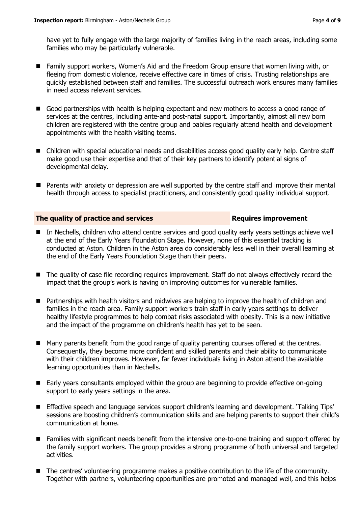have yet to fully engage with the large majority of families living in the reach areas, including some families who may be particularly vulnerable.

- Family support workers, Women's Aid and the Freedom Group ensure that women living with, or fleeing from domestic violence, receive effective care in times of crisis. Trusting relationships are quickly established between staff and families. The successful outreach work ensures many families in need access relevant services.
- Good partnerships with health is helping expectant and new mothers to access a good range of services at the centres, including ante-and post-natal support. Importantly, almost all new born children are registered with the centre group and babies regularly attend health and development appointments with the health visiting teams.
- Children with special educational needs and disabilities access good quality early help. Centre staff make good use their expertise and that of their key partners to identify potential signs of developmental delay.
- **Parents with anxiety or depression are well supported by the centre staff and improve their mental** health through access to specialist practitioners, and consistently good quality individual support.

#### **The quality of practice and services Requires improvement**

- In Nechells, children who attend centre services and good quality early years settings achieve well at the end of the Early Years Foundation Stage. However, none of this essential tracking is conducted at Aston. Children in the Aston area do considerably less well in their overall learning at the end of the Early Years Foundation Stage than their peers.
- The quality of case file recording requires improvement. Staff do not always effectively record the impact that the group's work is having on improving outcomes for vulnerable families.
- **Partnerships with health visitors and midwives are helping to improve the health of children and** families in the reach area. Family support workers train staff in early years settings to deliver healthy lifestyle programmes to help combat risks associated with obesity. This is a new initiative and the impact of the programme on children's health has yet to be seen.
- Many parents benefit from the good range of quality parenting courses offered at the centres. Consequently, they become more confident and skilled parents and their ability to communicate with their children improves. However, far fewer individuals living in Aston attend the available learning opportunities than in Nechells.
- Early years consultants employed within the group are beginning to provide effective on-going support to early years settings in the area.
- Effective speech and language services support children's learning and development. 'Talking Tips' sessions are boosting children's communication skills and are helping parents to support their child's communication at home.
- Families with significant needs benefit from the intensive one-to-one training and support offered by the family support workers. The group provides a strong programme of both universal and targeted activities.
- The centres' volunteering programme makes a positive contribution to the life of the community. Together with partners, volunteering opportunities are promoted and managed well, and this helps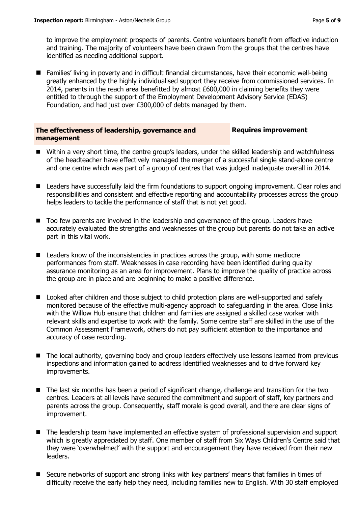to improve the employment prospects of parents. Centre volunteers benefit from effective induction and training. The majority of volunteers have been drawn from the groups that the centres have identified as needing additional support.

■ Families' living in poverty and in difficult financial circumstances, have their economic well-being greatly enhanced by the highly individualised support they receive from commissioned services. In 2014, parents in the reach area benefitted by almost £600,000 in claiming benefits they were entitled to through the support of the Employment Development Advisory Service (EDAS) Foundation, and had just over £300,000 of debts managed by them.

#### **The effectiveness of leadership, governance and management**

#### **Requires improvement**

- Within a very short time, the centre group's leaders, under the skilled leadership and watchfulness of the headteacher have effectively managed the merger of a successful single stand-alone centre and one centre which was part of a group of centres that was judged inadequate overall in 2014.
- Leaders have successfully laid the firm foundations to support ongoing improvement. Clear roles and responsibilities and consistent and effective reporting and accountability processes across the group helps leaders to tackle the performance of staff that is not yet good.
- Too few parents are involved in the leadership and governance of the group. Leaders have accurately evaluated the strengths and weaknesses of the group but parents do not take an active part in this vital work.
- Leaders know of the inconsistencies in practices across the group, with some mediocre performances from staff. Weaknesses in case recording have been identified during quality assurance monitoring as an area for improvement. Plans to improve the quality of practice across the group are in place and are beginning to make a positive difference.
- **D** Looked after children and those subject to child protection plans are well-supported and safely monitored because of the effective multi-agency approach to safeguarding in the area. Close links with the Willow Hub ensure that children and families are assigned a skilled case worker with relevant skills and expertise to work with the family. Some centre staff are skilled in the use of the Common Assessment Framework, others do not pay sufficient attention to the importance and accuracy of case recording.
- The local authority, governing body and group leaders effectively use lessons learned from previous inspections and information gained to address identified weaknesses and to drive forward key improvements.
- The last six months has been a period of significant change, challenge and transition for the two centres. Leaders at all levels have secured the commitment and support of staff, key partners and parents across the group. Consequently, staff morale is good overall, and there are clear signs of improvement.
- The leadership team have implemented an effective system of professional supervision and support which is greatly appreciated by staff. One member of staff from Six Ways Children's Centre said that they were 'overwhelmed' with the support and encouragement they have received from their new leaders.
- Secure networks of support and strong links with key partners' means that families in times of difficulty receive the early help they need, including families new to English. With 30 staff employed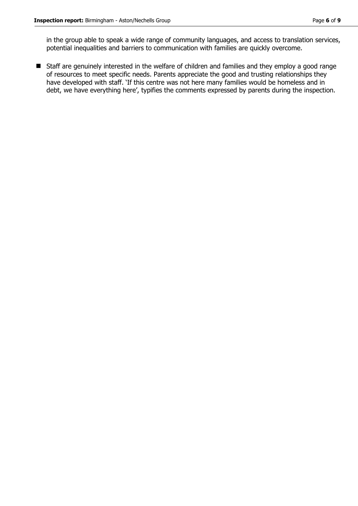in the group able to speak a wide range of community languages, and access to translation services, potential inequalities and barriers to communication with families are quickly overcome.

■ Staff are genuinely interested in the welfare of children and families and they employ a good range of resources to meet specific needs. Parents appreciate the good and trusting relationships they have developed with staff. 'If this centre was not here many families would be homeless and in debt, we have everything here', typifies the comments expressed by parents during the inspection.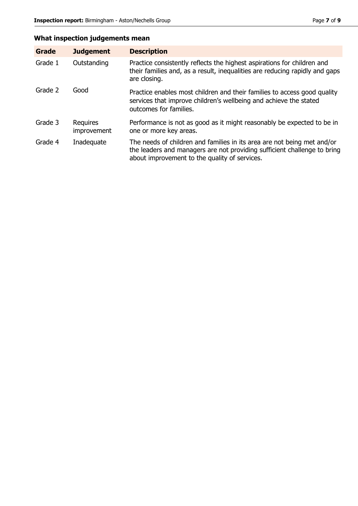# **What inspection judgements mean**

| <b>Grade</b> | <b>Judgement</b>               | <b>Description</b>                                                                                                                                                                                   |
|--------------|--------------------------------|------------------------------------------------------------------------------------------------------------------------------------------------------------------------------------------------------|
| Grade 1      | Outstanding                    | Practice consistently reflects the highest aspirations for children and<br>their families and, as a result, inequalities are reducing rapidly and gaps<br>are closing.                               |
| Grade 2      | Good                           | Practice enables most children and their families to access good quality<br>services that improve children's wellbeing and achieve the stated<br>outcomes for families.                              |
| Grade 3      | <b>Requires</b><br>improvement | Performance is not as good as it might reasonably be expected to be in<br>one or more key areas.                                                                                                     |
| Grade 4      | Inadequate                     | The needs of children and families in its area are not being met and/or<br>the leaders and managers are not providing sufficient challenge to bring<br>about improvement to the quality of services. |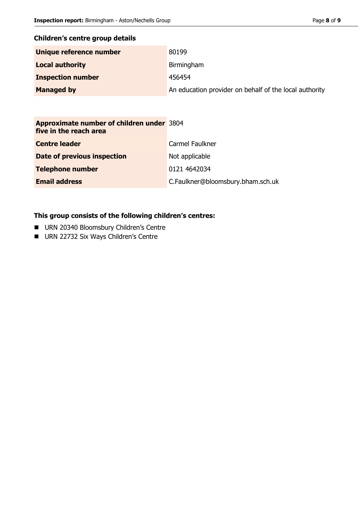# **Children's centre group details**

| Unique reference number  | 80199                                                  |
|--------------------------|--------------------------------------------------------|
| <b>Local authority</b>   | Birmingham                                             |
| <b>Inspection number</b> | 456454                                                 |
| <b>Managed by</b>        | An education provider on behalf of the local authority |

| Approximate number of children under 3804<br>five in the reach area |                                   |
|---------------------------------------------------------------------|-----------------------------------|
| <b>Centre leader</b>                                                | Carmel Faulkner                   |
| Date of previous inspection                                         | Not applicable                    |
| <b>Telephone number</b>                                             | 0121 4642034                      |
| <b>Email address</b>                                                | C.Faulkner@bloomsbury.bham.sch.uk |

# **This group consists of the following children's centres:**

- **URN 20340 Bloomsbury Children's Centre**
- URN 22732 Six Ways Children's Centre